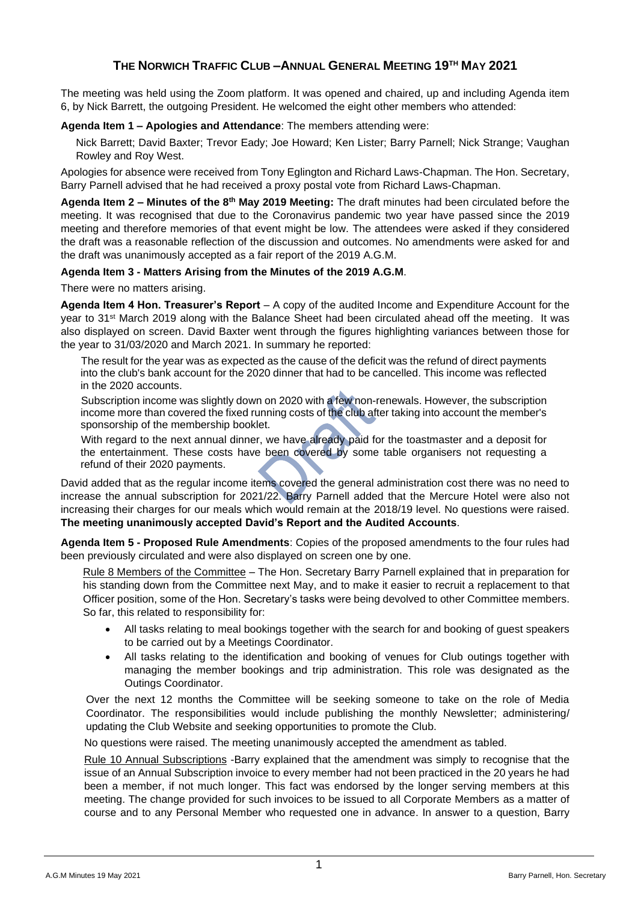## **THE NORWICH TRAFFIC CLUB –ANNUAL GENERAL MEETING 19TH MAY 2021**

The meeting was held using the Zoom platform. It was opened and chaired, up and including Agenda item 6, by Nick Barrett, the outgoing President. He welcomed the eight other members who attended:

## **Agenda Item 1 – Apologies and Attendance**: The members attending were:

Nick Barrett; David Baxter; Trevor Eady; Joe Howard; Ken Lister; Barry Parnell; Nick Strange; Vaughan Rowley and Roy West.

Apologies for absence were received from Tony Eglington and Richard Laws-Chapman. The Hon. Secretary, Barry Parnell advised that he had received a proxy postal vote from Richard Laws-Chapman.

**Agenda Item 2 – Minutes of the 8th May 2019 Meeting:** The draft minutes had been circulated before the meeting. It was recognised that due to the Coronavirus pandemic two year have passed since the 2019 meeting and therefore memories of that event might be low. The attendees were asked if they considered the draft was a reasonable reflection of the discussion and outcomes. No amendments were asked for and the draft was unanimously accepted as a fair report of the 2019 A.G.M.

## **Agenda Item 3 - Matters Arising from the Minutes of the 2019 A.G.M**.

There were no matters arising.

**Agenda Item 4 Hon. Treasurer's Report** – A copy of the audited Income and Expenditure Account for the year to 31st March 2019 along with the Balance Sheet had been circulated ahead off the meeting. It was also displayed on screen. David Baxter went through the figures highlighting variances between those for the year to 31/03/2020 and March 2021. In summary he reported:

The result for the year was as expected as the cause of the deficit was the refund of direct payments into the club's bank account for the 2020 dinner that had to be cancelled. This income was reflected in the 2020 accounts.

Subscription income was slightly down on 2020 with a few non-renewals. However, the subscription income more than covered the fixed running costs of the club after taking into account the member's sponsorship of the membership booklet.

With regard to the next annual dinner, we have already paid for the toastmaster and a deposit for the entertainment. These costs have been covered by some table organisers not requesting a refund of their 2020 payments.

David added that as the regular income items covered the general administration cost there was no need to increase the annual subscription for 2021/22. Barry Parnell added that the Mercure Hotel were also not increasing their charges for our meals which would remain at the 2018/19 level. No questions were raised. **The meeting unanimously accepted David's Report and the Audited Accounts**.

**Agenda Item 5 - Proposed Rule Amendments**: Copies of the proposed amendments to the four rules had been previously circulated and were also displayed on screen one by one.

Rule 8 Members of the Committee – The Hon. Secretary Barry Parnell explained that in preparation for his standing down from the Committee next May, and to make it easier to recruit a replacement to that Officer position, some of the Hon. Secretary's tasks were being devolved to other Committee members. So far, this related to responsibility for:

- All tasks relating to meal bookings together with the search for and booking of guest speakers to be carried out by a Meetings Coordinator.
- All tasks relating to the identification and booking of venues for Club outings together with managing the member bookings and trip administration. This role was designated as the Outings Coordinator.

Over the next 12 months the Committee will be seeking someone to take on the role of Media Coordinator. The responsibilities would include publishing the monthly Newsletter; administering/ updating the Club Website and seeking opportunities to promote the Club.

No questions were raised. The meeting unanimously accepted the amendment as tabled.

Rule 10 Annual Subscriptions -Barry explained that the amendment was simply to recognise that the issue of an Annual Subscription invoice to every member had not been practiced in the 20 years he had been a member, if not much longer. This fact was endorsed by the longer serving members at this meeting. The change provided for such invoices to be issued to all Corporate Members as a matter of course and to any Personal Member who requested one in advance. In answer to a question, Barry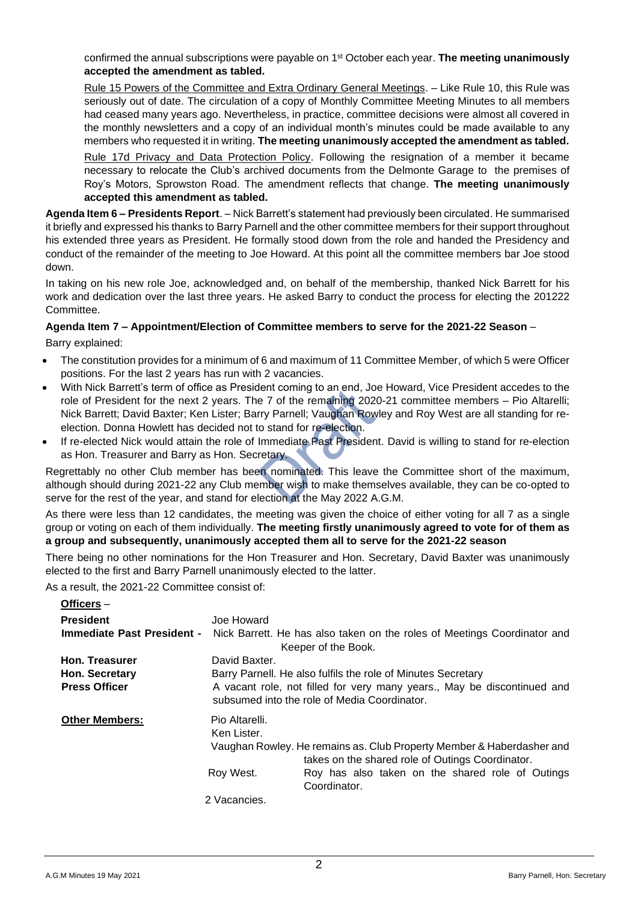confirmed the annual subscriptions were payable on 1<sup>st</sup> October each year. **The meeting unanimously accepted the amendment as tabled.**

Rule 15 Powers of the Committee and Extra Ordinary General Meetings. – Like Rule 10, this Rule was seriously out of date. The circulation of a copy of Monthly Committee Meeting Minutes to all members had ceased many years ago. Nevertheless, in practice, committee decisions were almost all covered in the monthly newsletters and a copy of an individual month's minutes could be made available to any members who requested it in writing. **The meeting unanimously accepted the amendment as tabled.**

Rule 17d Privacy and Data Protection Policy. Following the resignation of a member it became necessary to relocate the Club's archived documents from the Delmonte Garage to the premises of Roy's Motors, Sprowston Road. The amendment reflects that change. **The meeting unanimously accepted this amendment as tabled.**

**Agenda Item 6 – Presidents Report**. – Nick Barrett's statement had previously been circulated. He summarised it briefly and expressed his thanks to Barry Parnell and the other committee members for their support throughout his extended three years as President. He formally stood down from the role and handed the Presidency and conduct of the remainder of the meeting to Joe Howard. At this point all the committee members bar Joe stood down.

In taking on his new role Joe, acknowledged and, on behalf of the membership, thanked Nick Barrett for his work and dedication over the last three years. He asked Barry to conduct the process for electing the 201222 Committee.

## **Agenda Item 7 – Appointment/Election of Committee members to serve for the 2021-22 Season** –

Barry explained:

- The constitution provides for a minimum of 6 and maximum of 11 Committee Member, of which 5 were Officer positions. For the last 2 years has run with 2 vacancies.
- With Nick Barrett's term of office as President coming to an end, Joe Howard, Vice President accedes to the role of President for the next 2 years. The 7 of the remaining 2020-21 committee members – Pio Altarelli; Nick Barrett; David Baxter; Ken Lister; Barry Parnell; Vaughan Rowley and Roy West are all standing for reelection. Donna Howlett has decided not to stand for re-election.
- If re-elected Nick would attain the role of Immediate Past President. David is willing to stand for re-election as Hon. Treasurer and Barry as Hon. Secretary.

Regrettably no other Club member has been nominated. This leave the Committee short of the maximum, although should during 2021-22 any Club member wish to make themselves available, they can be co-opted to serve for the rest of the year, and stand for election at the May 2022 A.G.M.

As there were less than 12 candidates, the meeting was given the choice of either voting for all 7 as a single group or voting on each of them individually. **The meeting firstly unanimously agreed to vote for of them as a group and subsequently, unanimously accepted them all to serve for the 2021-22 season**

There being no other nominations for the Hon Treasurer and Hon. Secretary, David Baxter was unanimously elected to the first and Barry Parnell unanimously elected to the latter.

As a result, the 2021-22 Committee consist of:

| Officers-                  |                                                                                                                         |                                                                                                                      |  |
|----------------------------|-------------------------------------------------------------------------------------------------------------------------|----------------------------------------------------------------------------------------------------------------------|--|
| <b>President</b>           | Joe Howard                                                                                                              |                                                                                                                      |  |
| Immediate Past President - |                                                                                                                         | Nick Barrett. He has also taken on the roles of Meetings Coordinator and<br>Keeper of the Book.                      |  |
| <b>Hon. Treasurer</b>      | David Baxter.                                                                                                           |                                                                                                                      |  |
| Hon. Secretary             | Barry Parnell. He also fulfils the role of Minutes Secretary                                                            |                                                                                                                      |  |
| <b>Press Officer</b>       | A vacant role, not filled for very many years., May be discontinued and<br>subsumed into the role of Media Coordinator. |                                                                                                                      |  |
| <b>Other Members:</b>      | Pio Altarelli.<br>Ken Lister.                                                                                           | Vaughan Rowley. He remains as. Club Property Member & Haberdasher and                                                |  |
|                            | Roy West.                                                                                                               | takes on the shared role of Outings Coordinator.<br>Roy has also taken on the shared role of Outings<br>Coordinator. |  |
|                            | 2 Vacancies.                                                                                                            |                                                                                                                      |  |